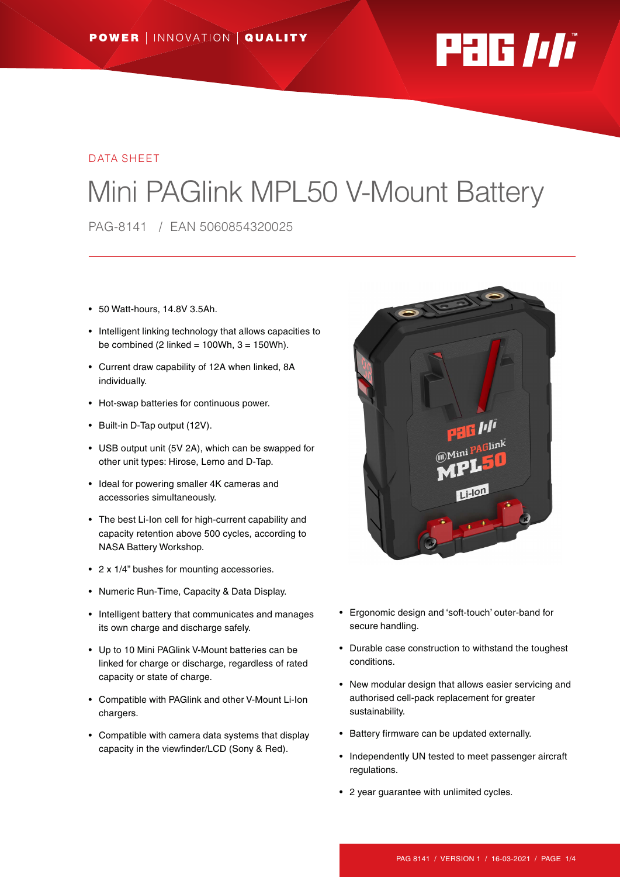

#### DATA SHEET

# Mini PAGlink MPL50 V-Mount Battery

PAG-8141 / EAN 5060854320025

- 50 Watt-hours, 14.8V 3.5Ah.
- Intelligent linking technology that allows capacities to be combined (2 linked =  $100Wh$ ,  $3 = 150Wh$ ).
- Current draw capability of 12A when linked, 8A individually.
- Hot-swap batteries for continuous power.
- Built-in D-Tap output (12V).
- USB output unit (5V 2A), which can be swapped for other unit types: Hirose, Lemo and D-Tap.
- Ideal for powering smaller 4K cameras and accessories simultaneously.
- The best Li-Ion cell for high-current capability and capacity retention above 500 cycles, according to NASA Battery Workshop.
- 2 x 1/4" bushes for mounting accessories.
- Numeric Run-Time, Capacity & Data Display.
- Intelligent battery that communicates and manages its own charge and discharge safely.
- Up to 10 Mini PAGlink V-Mount batteries can be linked for charge or discharge, regardless of rated capacity or state of charge.
- Compatible with PAGlink and other V-Mount Li-Ion chargers.
- Compatible with camera data systems that display capacity in the viewfinder/LCD (Sony & Red).



- Ergonomic design and 'soft-touch' outer-band for secure handling.
- Durable case construction to withstand the toughest conditions.
- New modular design that allows easier servicing and authorised cell-pack replacement for greater sustainability.
- Battery firmware can be updated externally.
- Independently UN tested to meet passenger aircraft regulations.
- 2 year guarantee with unlimited cycles.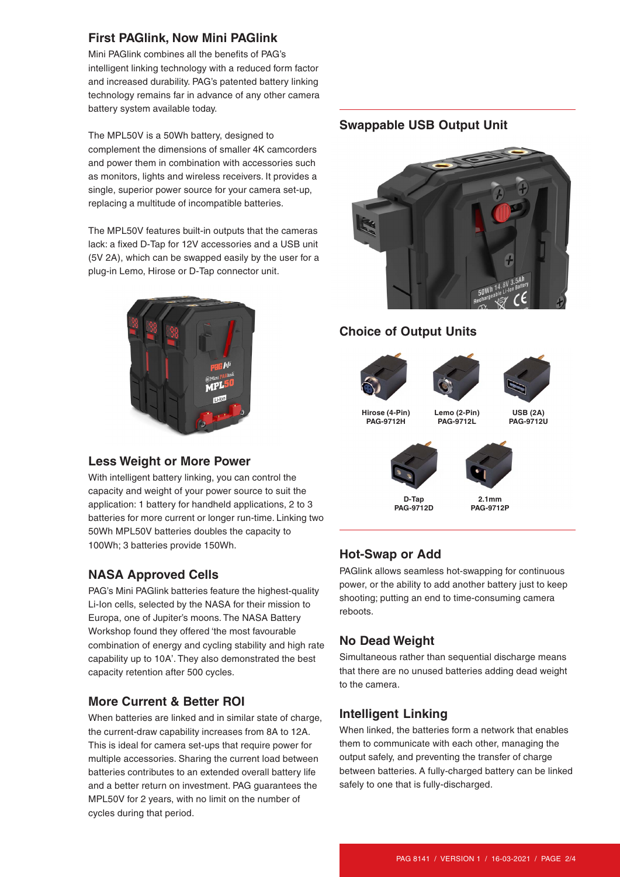# **First PAGlink, Now Mini PAGlink**

Mini PAGlink combines all the benefits of PAG's intelligent linking technology with a reduced form factor and increased durability. PAG's patented battery linking technology remains far in advance of any other camera battery system available today.

The MPL50V is a 50Wh battery, designed to complement the dimensions of smaller 4K camcorders and power them in combination with accessories such as monitors, lights and wireless receivers. It provides a single, superior power source for your camera set-up, replacing a multitude of incompatible batteries.

The MPL50V features built-in outputs that the cameras lack: a fixed D-Tap for 12V accessories and a USB unit (5V 2A), which can be swapped easily by the user for a plug-in Lemo, Hirose or D-Tap connector unit.



# **Less Weight or More Power**

With intelligent battery linking, you can control the capacity and weight of your power source to suit the application: 1 battery for handheld applications, 2 to 3 batteries for more current or longer run-time. Linking two 50Wh MPL50V batteries doubles the capacity to 100Wh; 3 batteries provide 150Wh.

# **NASA Approved Cells**

PAG's Mini PAGlink batteries feature the highest-quality Li-Ion cells, selected by the NASA for their mission to Europa, one of Jupiter's moons. The NASA Battery Workshop found they offered 'the most favourable combination of energy and cycling stability and high rate capability up to 10A'. They also demonstrated the best capacity retention after 500 cycles.

# **More Current & Better ROI**

When batteries are linked and in similar state of charge, the current-draw capability increases from 8A to 12A. This is ideal for camera set-ups that require power for multiple accessories. Sharing the current load between batteries contributes to an extended overall battery life and a better return on investment. PAG guarantees the MPL50V for 2 years, with no limit on the number of cycles during that period.

#### **Swappable USB Output Unit**



# **Choice of Output Units**







**Hirose (4-Pin) PAG-9712H**

**Lemo (2-Pin) PAG-9712L**

**USB (2A) PAG-9712U**



**D-Tap PAG-9712D**

**2.1mm PAG-9712P**

# **Hot-Swap or Add**

PAGlink allows seamless hot-swapping for continuous power, or the ability to add another battery just to keep shooting; putting an end to time-consuming camera reboots.

# **No Dead Weight**

Simultaneous rather than sequential discharge means that there are no unused batteries adding dead weight to the camera.

#### **Intelligent Linking**

When linked, the batteries form a network that enables them to communicate with each other, managing the output safely, and preventing the transfer of charge between batteries. A fully-charged battery can be linked safely to one that is fully-discharged.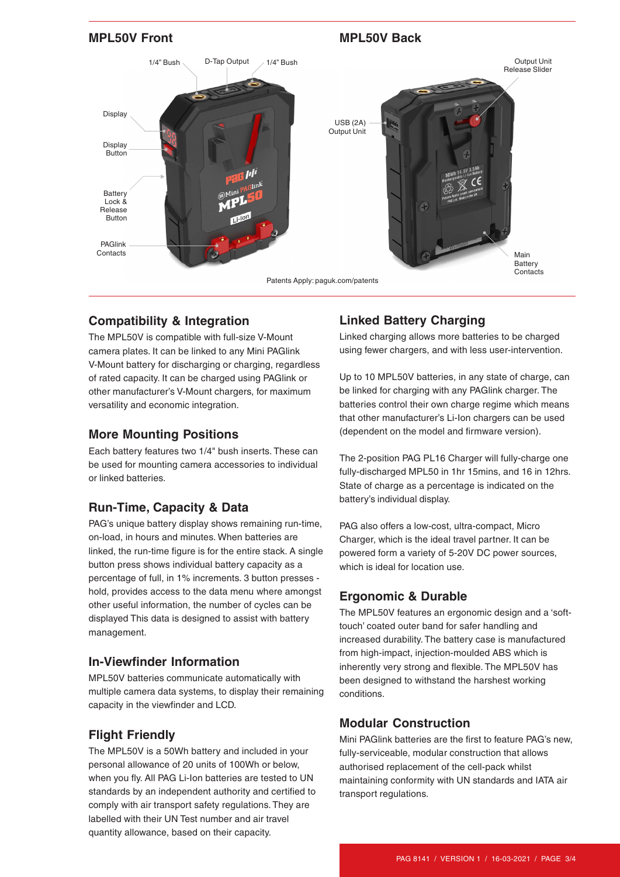

## **Compatibility & Integration**

The MPL50V is compatible with full-size V-Mount camera plates. It can be linked to any Mini PAGlink V-Mount battery for discharging or charging, regardless of rated capacity. It can be charged using PAGlink or other manufacturer's V-Mount chargers, for maximum versatility and economic integration.

## **More Mounting Positions**

Each battery features two 1/4" bush inserts. These can be used for mounting camera accessories to individual or linked batteries.

# **Run-Time, Capacity & Data**

PAG's unique battery display shows remaining run-time, on-load, in hours and minutes. When batteries are linked, the run-time figure is for the entire stack. A single button press shows individual battery capacity as a percentage of full, in 1% increments. 3 button presses hold, provides access to the data menu where amongst other useful information, the number of cycles can be displayed This data is designed to assist with battery management.

#### **In-Viewfinder Information**

MPL50V batteries communicate automatically with multiple camera data systems, to display their remaining capacity in the viewfinder and LCD.

#### **Flight Friendly**

The MPL50V is a 50Wh battery and included in your personal allowance of 20 units of 100Wh or below, when you fly. All PAG Li-Ion batteries are tested to UN standards by an independent authority and certified to comply with air transport safety regulations. They are labelled with their UN Test number and air travel quantity allowance, based on their capacity.

# **Linked Battery Charging**

Linked charging allows more batteries to be charged using fewer chargers, and with less user-intervention.

Up to 10 MPL50V batteries, in any state of charge, can be linked for charging with any PAGlink charger. The batteries control their own charge regime which means that other manufacturer's Li-Ion chargers can be used (dependent on the model and firmware version).

The 2-position PAG PL16 Charger will fully-charge one fully-discharged MPL50 in 1hr 15mins, and 16 in 12hrs. State of charge as a percentage is indicated on the battery's individual display.

PAG also offers a low-cost, ultra-compact, Micro Charger, which is the ideal travel partner. It can be powered form a variety of 5-20V DC power sources, which is ideal for location use.

# **Ergonomic & Durable**

The MPL50V features an ergonomic design and a 'softtouch' coated outer band for safer handling and increased durability. The battery case is manufactured from high-impact, injection-moulded ABS which is inherently very strong and flexible. The MPL50V has been designed to withstand the harshest working conditions.

# **Modular Construction**

Mini PAGlink batteries are the first to feature PAG's new, fully-serviceable, modular construction that allows authorised replacement of the cell-pack whilst maintaining conformity with UN standards and IATA air transport regulations.